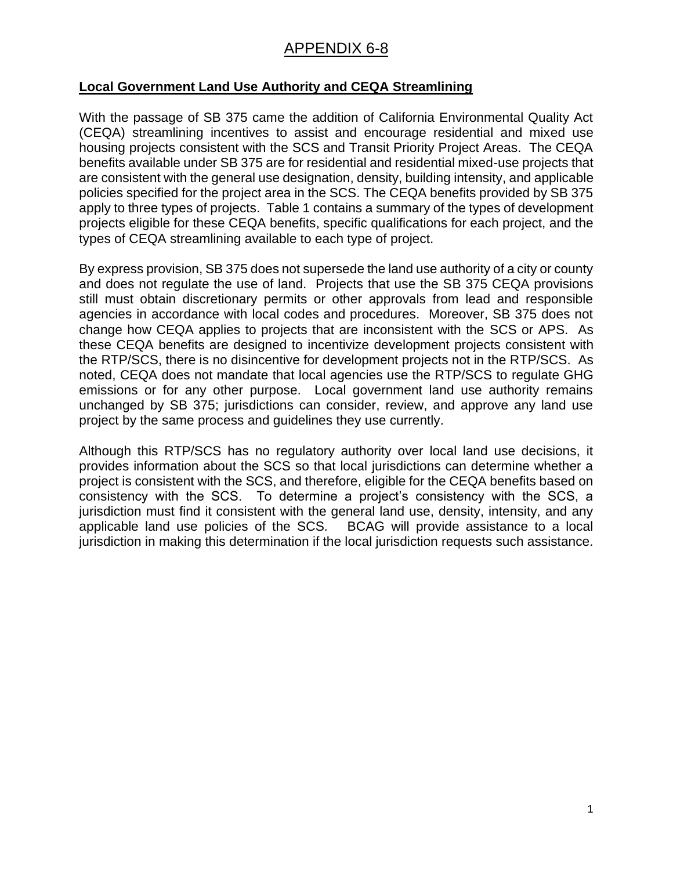## APPENDIX 6-8

## **Local Government Land Use Authority and CEQA Streamlining**

With the passage of SB 375 came the addition of California Environmental Quality Act (CEQA) streamlining incentives to assist and encourage residential and mixed use housing projects consistent with the SCS and Transit Priority Project Areas. The CEQA benefits available under SB 375 are for residential and residential mixed-use projects that are consistent with the general use designation, density, building intensity, and applicable policies specified for the project area in the SCS. The CEQA benefits provided by SB 375 apply to three types of projects. Table 1 contains a summary of the types of development projects eligible for these CEQA benefits, specific qualifications for each project, and the types of CEQA streamlining available to each type of project.

By express provision, SB 375 does not supersede the land use authority of a city or county and does not regulate the use of land. Projects that use the SB 375 CEQA provisions still must obtain discretionary permits or other approvals from lead and responsible agencies in accordance with local codes and procedures. Moreover, SB 375 does not change how CEQA applies to projects that are inconsistent with the SCS or APS. As these CEQA benefits are designed to incentivize development projects consistent with the RTP/SCS, there is no disincentive for development projects not in the RTP/SCS. As noted, CEQA does not mandate that local agencies use the RTP/SCS to regulate GHG emissions or for any other purpose. Local government land use authority remains unchanged by SB 375; jurisdictions can consider, review, and approve any land use project by the same process and guidelines they use currently.

Although this RTP/SCS has no regulatory authority over local land use decisions, it provides information about the SCS so that local jurisdictions can determine whether a project is consistent with the SCS, and therefore, eligible for the CEQA benefits based on consistency with the SCS. To determine a project's consistency with the SCS, a jurisdiction must find it consistent with the general land use, density, intensity, and any applicable land use policies of the SCS. BCAG will provide assistance to a local jurisdiction in making this determination if the local jurisdiction requests such assistance.